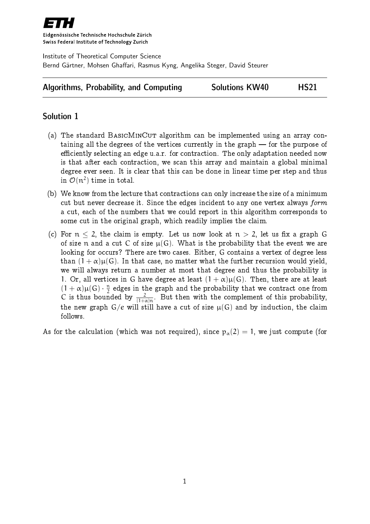

Eidgenössische Technische Hochschule Zürich Swiss Federal Institute of Technology Zurich

Institute of Theoretical Computer Science Bernd Gärtner, Mohsen Ghaffari, Rasmus Kyng, Angelika Steger, David Steurer

|  |  | <b>Algorithms, Probability, and Computing</b> | <b>Solutions KW40</b> | <b>HS21</b> |
|--|--|-----------------------------------------------|-----------------------|-------------|
|--|--|-----------------------------------------------|-----------------------|-------------|

## Solution 1

- (a) The standard BASICMINCUT algorithm can be implemented using an array containing all the degrees of the vertices currently in the graph  $-$  for the purpose of efficiently selecting an edge u.a.r. for contraction. The only adaptation needed now is that after each contraction, we scan this array and maintain a global minimal degree ever seen. It is clear that this can be done in linear time per step and thus in  $\mathcal{O}(n^2)$  time in total.
- (b) We know from the lecture that contractions can only increase the size of a minimum cut but never decrease it. Since the edges incident to any one vertex always form a cut, each of the numbers that we could report in this algorithm corresponds to some cut in the original graph, which readily implies the claim.
- (c) For  $n < 2$ , the claim is empty. Let us now look at  $n > 2$ , let us fix a graph G of size n and a cut C of size  $\mu(G)$ . What is the probability that the event we are looking for occurs? There are two cases. Either, G contains a vertex of degree less than  $(1 + \alpha)\mu(G)$ . In that case, no matter what the further recursion would yield, we will always return a number at most that degree and thus the probability is 1. Or, all vertices in G have degree at least  $(1 + \alpha)\mu(G)$ . Then, there are at least  $(1+\alpha)\mu(G) \cdot \frac{\pi}{2}$  $\frac{\pi}{2}$  edges in the graph and the probability that we contract one from C is thus bounded by  $\frac{2}{(1+\alpha)n}$ . But then with the complement of this probability, the new graph  $G/e$  will still have a cut of size  $\mu(G)$  and by induction, the claim follows.

As for the calculation (which was not required), since  $p_{\alpha}(2) = 1$ , we just compute (for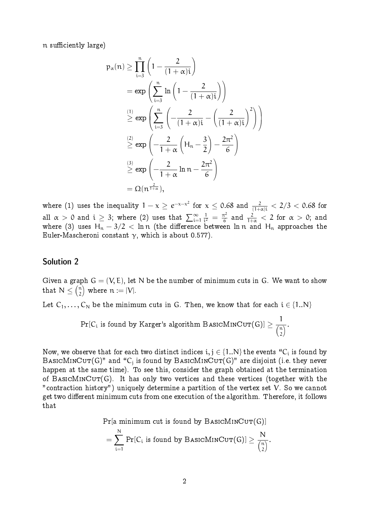n sufficiently large)

$$
p_{\alpha}(n) \geq \prod_{i=3}^{n} \left(1 - \frac{2}{(1+\alpha)i}\right)
$$
  
=  $\exp\left(\sum_{i=3}^{n} \ln\left(1 - \frac{2}{(1+\alpha)i}\right)\right)$   
 $\stackrel{(1)}{\geq} \exp\left(\sum_{i=3}^{n} \left(-\frac{2}{(1+\alpha)i} - \left(\frac{2}{(1+\alpha)i}\right)^2\right)\right)$   
 $\stackrel{(2)}{\geq} \exp\left(-\frac{2}{1+\alpha}\left(H_n - \frac{3}{2}\right) - \frac{2\pi^2}{6}\right)$   
 $\stackrel{(3)}{\geq} \exp\left(-\frac{2}{1+\alpha}\ln n - \frac{2\pi^2}{6}\right)$   
=  $\Omega(n^{\frac{2}{1+\alpha}}),$ 

where (1) uses the inequality  $1 - \chi\geq e^{-\chi-\chi^2}$  for  $\chi\leq 0.68$  and  $\frac{2}{(1+\alpha)i} < 2/3 < 0.68$  for all  $\alpha\,>\,0$  and  $\mathfrak{i}\,\geq\,3;$  where  $(2)$  uses that  $\sum_{\mathfrak{i}=1}^\infty$ 1  $\frac{1}{i^2} = \frac{\pi^2}{6}$  $\frac{\tau^2}{6}$  and  $\frac{2}{1+\alpha} < 2$  for  $\alpha > 0$ ; and where (3) uses  ${\sf H_n} - 3/2 \, < \, {\sf ln}\, {\sf n}$  (the difference between  ${\sf ln}\, {\sf n}$  and  ${\sf H_n}$  approaches the Euler-Mascheroni constant  $\gamma$ , which is about 0.577).

## Solution 2

Given a graph  $G = (V, E)$ , let N be the number of minimum cuts in G. We want to show that  $\,\mathrm{N}\leq\left(\frac{\mathfrak{n}}{2}\right)$  $\binom{n}{2}$  where  $n \coloneqq |V|.$ 

Let  $C_1, \ldots, C_N$  be the minimum cuts in G. Then, we know that for each  $i \in \{1..N\}$ 

$$
\Pr[C_i \text{ is found by Karger's algorithm BASICMINCUT(G)}] \geq \frac{1}{\binom{n}{2}}.
$$

Now, we observe that for each two distinct indices  $\mathfrak{i}, \mathfrak{j} \in \{1..\textsf{N}\}$  the events "C $_\mathfrak{i}$  is found by  $\texttt{BASICMINCUT}(G)$ " and " $\texttt{C}_\texttt{j}$  is found by  $\texttt{BASICMINCUT}(G)$ " are disjoint (i.e. they never happen at the same time). To see this, consider the graph obtained at the termination of BASICMINCUT(G). It has only two vertices and these vertices (together with the "contraction history") uniquely determine a partition of the vertex set V. So we cannot get two different minimum cuts from one execution of the algorithm. Therefore, it follows that

 $Pr[a \text{ minimum cut is found by } BasICMINCUT(G)]$ 

$$
= \sum_{i=1}^N \Pr[C_i \text{ is found by BASICMINCUT}(G)] \geq \frac{N}{\binom{n}{2}}.
$$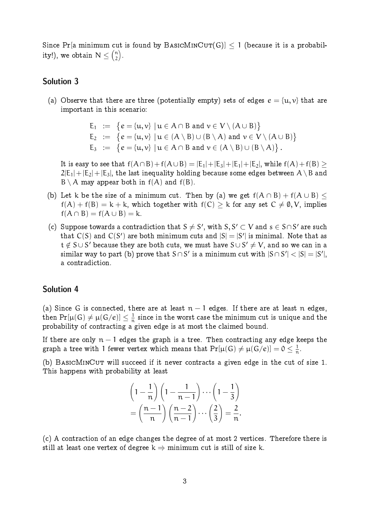Since Pr[a minimum cut is found by BASICMINCUT(G)]  $\leq 1$  (because it is a probability!), we obtain  $\mathrm{N}\leq\binom{n}{2}$ n).

## Solution 3

(a) Observe that there are three (potentially empty) sets of edges  $e = \{u, v\}$  that are important in this scenario:

> $E_1 := \{e = \{u, v\} \mid u \in A \cap B \text{ and } v \in V \setminus (A \cup B)\}$  $E_2 := \{e = \{u, v\} \mid u \in (A \setminus B) \cup (B \setminus A) \text{ and } v \in V \setminus (A \cup B)\}$  $E_3 \coloneqq \{e = \{u, v\} \mid u \in A \cap B \text{ and } v \in (A \setminus B) \cup (B \setminus A)\}.$

It is easy to see that  $f(A \cap B)+f(A \cup B) = |E_1|+|E_3|+|E_1|+|E_2|$ , while  $f(A)+f(B) \ge$  $2|E_1|+|E_2|+|E_3|$ , the last inequality holding because some edges between  $A\setminus B$  and  $B \setminus A$  may appear both in  $f(A)$  and  $f(B)$ .

- (b) Let k be the size of a minimum cut. Then by (a) we get  $f(A \cap B) + f(A \cup B)$  $f(A) + f(B) = k + k$ , which together with  $f(C) > k$  for any set  $C \neq \emptyset, V$ , implies  $f(A \cap B) = f(A \cup B) = k.$
- (c) Suppose towards a contradiction that  $S \neq S'$ , with  $S, S' \subset V$  and  $s \in S \cap S'$  are such that  $C(S)$  and  $C(S')$  are both minimum cuts and  $|S| = |S'|$  is minimal. Note that as  $\mathsf{t} \notin \mathsf{S} \cup \mathsf{S}'$  because they are both cuts, we must have  $\mathsf{S} \cup \mathsf{S}' \neq \mathsf{V},$  and so we can in a similar way to part (b) prove that  $S \cap S'$  is a minimum cut with  $|S \cap S'| < |S| = |S'|,$ a contradiction.

## Solution 4

(a) Since G is connected, there are at least  $n-1$  edges. If there are at least n edges, then  $\Pr[\mu(\mathsf{G})\neq \mu(\mathsf{G}/e)]\leq \frac{1}{n}$  $\frac{1}{n}$  since in the worst case the minimum cut is unique and the probability of contracting a given edge is at most the claimed bound.

If there are only  $n - 1$  edges the graph is a tree. Then contracting any edge keeps the graph a tree with 1 fewer vertex which means that  $\Pr[\mu(\mathrm{G}) \neq \mu(\mathrm{G}/e)]=\mathsf{0} \leq \frac{1}{n}$  $\frac{1}{n}$ .

(b) BASICMINCUT will succeed if it never contracts a given edge in the cut of size 1. This happens with probability at least

$$
\left(1 - \frac{1}{n}\right)\left(1 - \frac{1}{n-1}\right)\cdots\left(1 - \frac{1}{3}\right)
$$

$$
= \left(\frac{n-1}{n}\right)\left(\frac{n-2}{n-1}\right)\cdots\left(\frac{2}{3}\right) = \frac{2}{n}.
$$

(c) A contraction of an edge changes the degree of at most 2 vertices. Therefore there is still at least one vertex of degree  $k \Rightarrow$  minimum cut is still of size k.